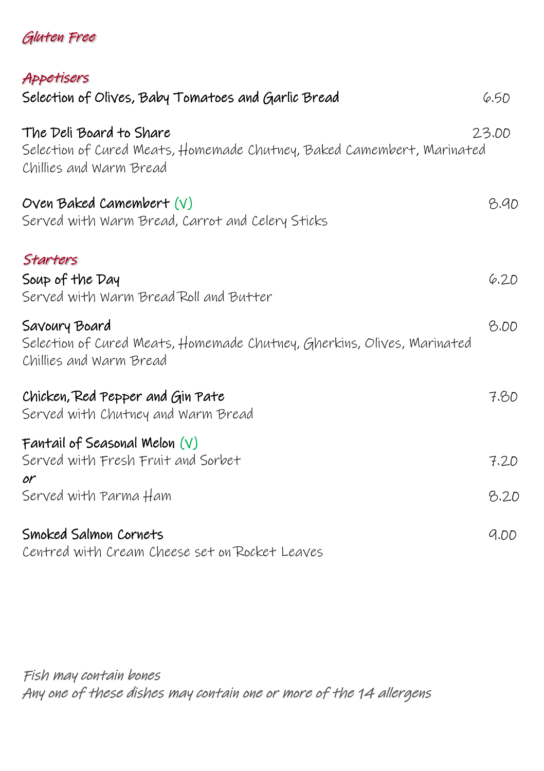## Gluten Free

| Appetisers                                                                                                                   |       |
|------------------------------------------------------------------------------------------------------------------------------|-------|
| Selection of Olives, Baby Tomatoes and Garlic Bread                                                                          | 6.50  |
| The Deli Board to Share<br>Selection of Cured Meats, Homemade Chutney, Baked Camembert, Marinated<br>Chillies and Warm Bread | 23.00 |
| Oven Baked Camembert $(V)$<br>Served with Warm Bread, Carrot and Celery Sticks                                               | 8.90  |
| Starters<br>Soup of the Day<br>Served with Warm Bread Roll and Butter                                                        | 6.20  |
| Savoury Board<br>Selection of Cured Meats, Homemade Chutney, Gherkins, Olives, Marinated<br>Chillies and Warm Bread          | 8.00  |
| Chicken, Red Pepper and Gin Pate<br>Served with Chutney and Warm Bread                                                       | 7.80  |
| Fantail of Seasonal Melon $(V)$<br>Served with Fresh Fruit and Sorbet<br>٥r                                                  | 7.20  |
| Served with Parma Ham                                                                                                        | 8.20  |
| Smoked Salmon Cornets<br>Centred with Cream Cheese set on Rocket Leaves                                                      | 9.00  |

Fish may contain bones Any one of these dishes may contain one or more of the 14 allergens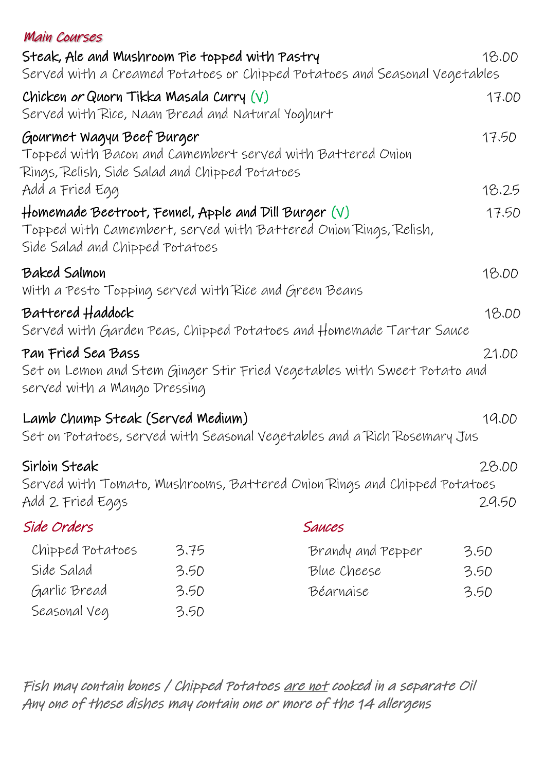| <b>Main Courses</b>                                                                              |      |                                                                            |                |
|--------------------------------------------------------------------------------------------------|------|----------------------------------------------------------------------------|----------------|
| Steak, Ale and Mushroom Pie topped with Pastry                                                   |      |                                                                            | 18.00          |
|                                                                                                  |      | Served with a Creamed Potatoes or Chipped Potatoes and Seasonal Vegetables |                |
| Chicken or Quorn Tikka Masala Curry $(V)$<br>Served with Rice, Naan Bread and Natural Yoghurt    |      |                                                                            | 17.00          |
| Gourmet Wagyu Beef Burger<br>Rings, Relish, Side Salad and Chipped Potatoes                      |      | Topped with Bacon and Camembert served with Battered Onion                 | 17.50          |
| Add a Fried Egg                                                                                  |      |                                                                            | 18.25          |
| $\#$ omemade Beetroot, Fennel, Apple and Dill Burger $(\vee)$<br>Side Salad and Chipped Potatoes |      | Topped with Camembert, served with Battered Onion Rings, Relish,           | 17.50          |
| Baked Salmon<br>With a Pesto Topping served with Rice and Green Beans                            |      |                                                                            | 18.00          |
| Battered Haddock                                                                                 |      | Served with Garden Peas, Chipped Potatoes and Homemade Tartar Sauce        | 18.00          |
| Pan Fried Sea Bass<br>served with a Mango Dressing                                               |      | Set on Lemon and Stem Ginger Stir Fried Vegetables with Sweet Potato and   | 21.00          |
| Lamb Chump Steak (Served Medium)                                                                 |      | Set on Potatoes, served with Seasonal Vegetables and a Rich Rosemary Jus   | 19.00          |
| Sirloin Steak<br>Add 2 Fried Eggs                                                                |      | Served with Tomato, Mushrooms, Battered Onion Rings and Chipped Potatoes   | 28.00<br>29.50 |
| Side Orders                                                                                      |      | Sauces                                                                     |                |
| Chipped Potatoes                                                                                 | 3.75 | Brandy and Pepper                                                          | 3.50           |
| Side Salad                                                                                       | 3.50 | Blue Cheese                                                                | 3.50           |
| Garlic Bread                                                                                     | 3.50 | Béarnaise                                                                  | 3.50           |
| Seasonal Veg                                                                                     | 3.50 |                                                                            |                |

Fish may contain bones / Chipped Potatoes are not cooked in a separate Oil Any one of these dishes may contain one or more of the 14 allergens